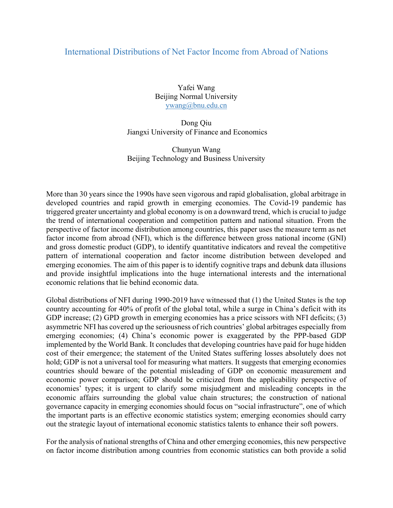## International Distributions of Net Factor Income from Abroad of Nations

Yafei Wang Beijing Normal University ywang@bnu.edu.cn

Dong Qiu Jiangxi University of Finance and Economics

Chunyun Wang Beijing Technology and Business University

More than 30 years since the 1990s have seen vigorous and rapid globalisation, global arbitrage in developed countries and rapid growth in emerging economies. The Covid-19 pandemic has triggered greater uncertainty and global economy is on a downward trend, which is crucial to judge the trend of international cooperation and competition pattern and national situation. From the perspective of factor income distribution among countries, this paper uses the measure term as net factor income from abroad (NFI), which is the difference between gross national income (GNI) and gross domestic product (GDP), to identify quantitative indicators and reveal the competitive pattern of international cooperation and factor income distribution between developed and emerging economies. The aim of this paper is to identify cognitive traps and debunk data illusions and provide insightful implications into the huge international interests and the international economic relations that lie behind economic data.

Global distributions of NFI during 1990-2019 have witnessed that (1) the United States is the top country accounting for 40% of profit of the global total, while a surge in China's deficit with its GDP increase; (2) GPD growth in emerging economies has a price scissors with NFI deficits; (3) asymmetric NFI has covered up the seriousness of rich countries' global arbitrages especially from emerging economies; (4) China's economic power is exaggerated by the PPP-based GDP implemented by the World Bank. It concludes that developing countries have paid for huge hidden cost of their emergence; the statement of the United States suffering losses absolutely does not hold; GDP is not a universal tool for measuring what matters. It suggests that emerging economies countries should beware of the potential misleading of GDP on economic measurement and economic power comparison; GDP should be criticized from the applicability perspective of economies' types; it is urgent to clarify some misjudgment and misleading concepts in the economic affairs surrounding the global value chain structures; the construction of national governance capacity in emerging economies should focus on "social infrastructure", one of which the important parts is an effective economic statistics system; emerging economies should carry out the strategic layout of international economic statistics talents to enhance their soft powers.

For the analysis of national strengths of China and other emerging economies, this new perspective on factor income distribution among countries from economic statistics can both provide a solid